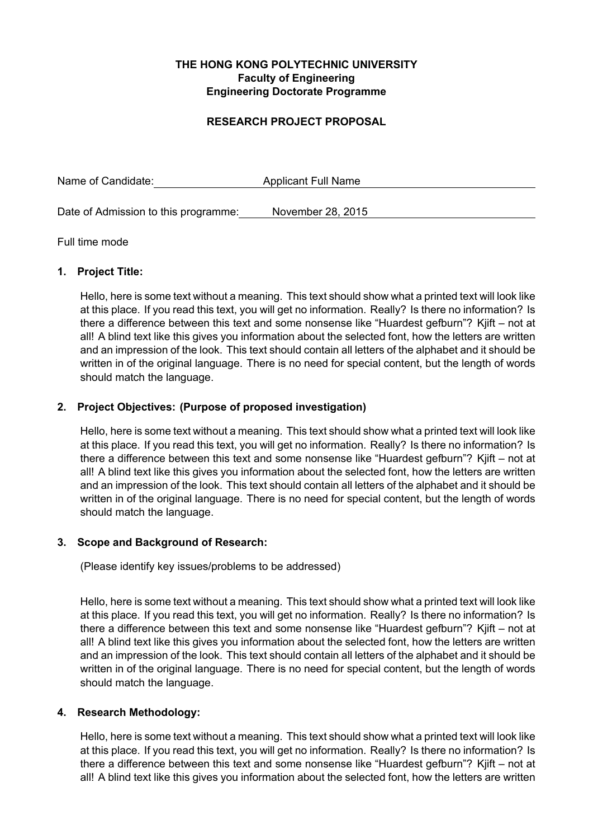## **THE HONG KONG POLYTECHNIC UNIVERSITY Faculty of Engineering Engineering Doctorate Programme**

## **RESEARCH PROJECT PROPOSAL**

Name of Candidate: Applicant Full Name

Date of Admission to this programme: November 28, 2015

## Full time mode

## **1. Project Title:**

Hello, here is some text without a meaning. This text should show what a printed text will look like at this place. If you read this text, you will get no information. Really? Is there no information? Is there a difference between this text and some nonsense like "Huardest gefburn"? Kjift – not at all! A blind text like this gives you information about the selected font, how the letters are written and an impression of the look. This text should contain all letters of the alphabet and it should be written in of the original language. There is no need for special content, but the length of words should match the language.

## **2. Project Objectives: (Purpose of proposed investigation)**

Hello, here is some text without a meaning. This text should show what a printed text will look like at this place. If you read this text, you will get no information. Really? Is there no information? Is there a difference between this text and some nonsense like "Huardest gefburn"? Kjift – not at all! A blind text like this gives you information about the selected font, how the letters are written and an impression of the look. This text should contain all letters of the alphabet and it should be written in of the original language. There is no need for special content, but the length of words should match the language.

### **3. Scope and Background of Research:**

(Please identify key issues/problems to be addressed)

Hello, here is some text without a meaning. This text should show what a printed text will look like at this place. If you read this text, you will get no information. Really? Is there no information? Is there a difference between this text and some nonsense like "Huardest gefburn"? Kjift – not at all! A blind text like this gives you information about the selected font, how the letters are written and an impression of the look. This text should contain all letters of the alphabet and it should be written in of the original language. There is no need for special content, but the length of words should match the language.

# **4. Research Methodology:**

Hello, here is some text without a meaning. This text should show what a printed text will look like at this place. If you read this text, you will get no information. Really? Is there no information? Is there a difference between this text and some nonsense like "Huardest gefburn"? Kjift – not at all! A blind text like this gives you information about the selected font, how the letters are written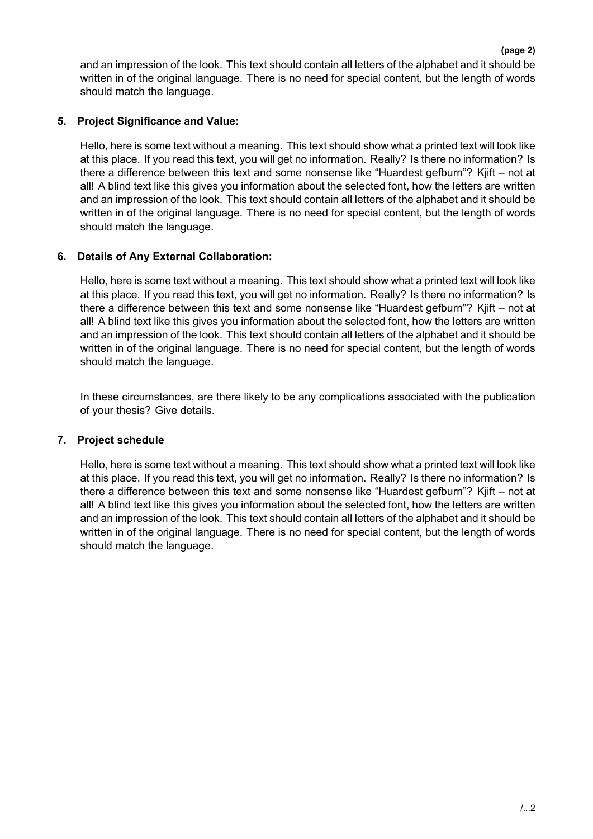and an impression of the look. This text should contain all letters of the alphabet and it should be written in of the original language. There is no need for special content, but the length of words should match the language.

# **5. Project Significance and Value:**

Hello, here is some text without a meaning. This text should show what a printed text will look like at this place. If you read this text, you will get no information. Really? Is there no information? Is there a difference between this text and some nonsense like "Huardest gefburn"? Kjift – not at all! A blind text like this gives you information about the selected font, how the letters are written and an impression of the look. This text should contain all letters of the alphabet and it should be written in of the original language. There is no need for special content, but the length of words should match the language.

# **6. Details of Any External Collaboration:**

Hello, here is some text without a meaning. This text should show what a printed text will look like at this place. If you read this text, you will get no information. Really? Is there no information? Is there a difference between this text and some nonsense like "Huardest gefburn"? Kjift – not at all! A blind text like this gives you information about the selected font, how the letters are written and an impression of the look. This text should contain all letters of the alphabet and it should be written in of the original language. There is no need for special content, but the length of words should match the language.

In these circumstances, are there likely to be any complications associated with the publication of your thesis? Give details.

# **7. Project schedule**

Hello, here is some text without a meaning. This text should show what a printed text will look like at this place. If you read this text, you will get no information. Really? Is there no information? Is there a difference between this text and some nonsense like "Huardest gefburn"? Kjift – not at all! A blind text like this gives you information about the selected font, how the letters are written and an impression of the look. This text should contain all letters of the alphabet and it should be written in of the original language. There is no need for special content, but the length of words should match the language.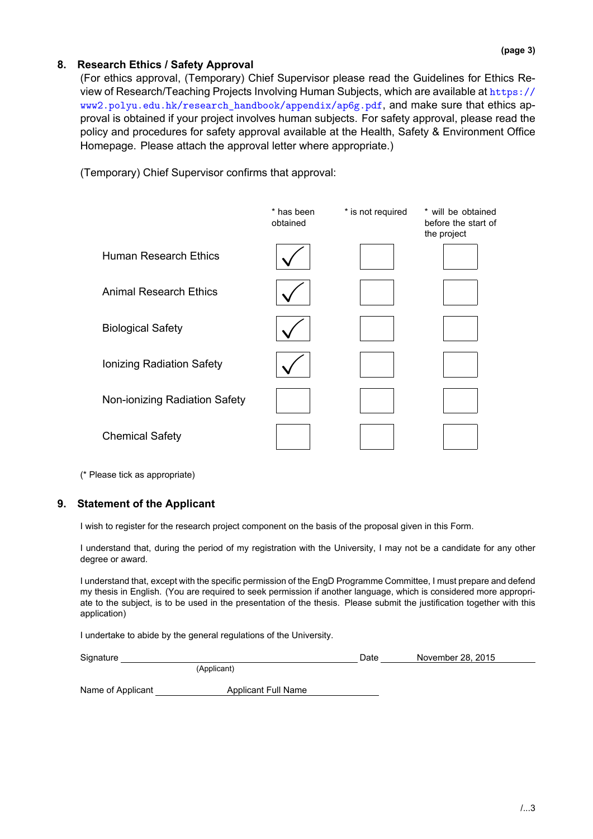# **8. Research Ethics / Safety Approval**

(For ethics approval, (Temporary) Chief Supervisor please read the Guidelines for Ethics Review of Research/Teaching Projects Involving Human Subjects, which are available at https:// www2.polyu.edu.hk/research\_handbook/appendix/ap6g.pdf, and make sure that ethics approval is obtained if your project involves human subjects. For safety approval, please read the policy and procedures for safety approval available at the Health, Safety & Environm[ent Office](https://www2.polyu.edu.hk/research_handbook/appendix/ap6g.pdf) [Homepage. Please attach the approval letter where appropriate](https://www2.polyu.edu.hk/research_handbook/appendix/ap6g.pdf).)

(Temporary) Chief Supervisor confirms that approval:



(\* Please tick as appropriate)

#### **9. Statement of the Applicant**

I wish to register for the research project component on the basis of the proposal given in this Form.

I understand that, during the period of my registration with the University, I may not be a candidate for any other degree or award.

I understand that, except with the specific permission of the EngD Programme Committee, I must prepare and defend my thesis in English. (You are required to seek permission if another language, which is considered more appropriate to the subject, is to be used in the presentation of the thesis. Please submit the justification together with this application)

I undertake to abide by the general regulations of the University.

| Signature         |                            | Date | November 28, 2015 |  |
|-------------------|----------------------------|------|-------------------|--|
| (Applicant)       |                            |      |                   |  |
| Name of Applicant | <b>Applicant Full Name</b> |      |                   |  |